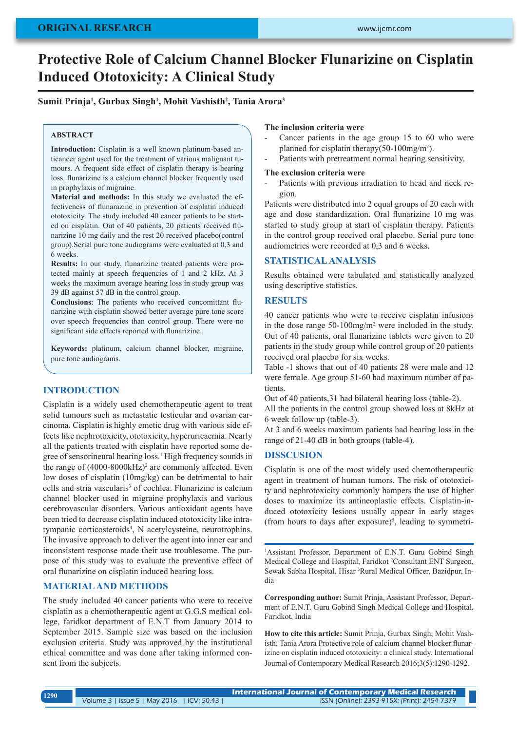# **Protective Role of Calcium Channel Blocker Flunarizine on Cisplatin Induced Ototoxicity: A Clinical Study**

## **Sumit Prinja1 , Gurbax Singh1 , Mohit Vashisth2 , Tania Arora3**

### **ABSTRACT**

**Introduction:** Cisplatin is a well known platinum-based anticancer agent used for the treatment of various malignant tumours. A frequent side effect of cisplatin therapy is hearing loss. flunarizine is a calcium channel blocker frequently used in prophylaxis of migraine.

**Material and methods:** In this study we evaluated the effectiveness of flunarazine in prevention of cisplatin induced ototoxicity. The study included 40 cancer patients to be started on cisplatin. Out of 40 patients, 20 patients received flunarizine 10 mg daily and the rest 20 received placebo(control group).Serial pure tone audiograms were evaluated at 0,3 and 6 weeks.

**Results:** In our study, flunarizine treated patients were protected mainly at speech frequencies of 1 and 2 kHz. At 3 weeks the maximum average hearing loss in study group was 39 dB against 57 dB in the control group.

**Conclusions**: The patients who received concomittant flunarizine with cisplatin showed better average pure tone score over speech frequencies than control group. There were no significant side effects reported with flunarizine.

**Keywords:** platinum, calcium channel blocker, migraine, pure tone audiograms.

## **INTRODUCTION**

Cisplatin is a widely used chemotherapeutic agent to treat solid tumours such as metastatic testicular and ovarian carcinoma. Cisplatin is highly emetic drug with various side effects like nephrotoxicity, ototoxicity, hyperuricaemia. Nearly all the patients treated with cisplatin have reported some degree of sensorineural hearing loss.<sup>1</sup> High frequency sounds in the range of  $(4000-8000 \text{kHz})^2$  are commonly affected. Even low doses of cisplatin (10mg/kg) can be detrimental to hair cells and stria vascularis<sup>3</sup> of cochlea. Flunarizine is calcium channel blocker used in migraine prophylaxis and various cerebrovascular disorders. Various antioxidant agents have been tried to decrease cisplatin induced ototoxicity like intratympanic corticosteroids<sup>4</sup>, N acetylcysteine, neurotrophins. The invasive approach to deliver the agent into inner ear and inconsistent response made their use troublesome. The purpose of this study was to evaluate the preventive effect of oral flunarizine on cisplatin induced hearing loss.

## **MATERIAL AND METHODS**

The study included 40 cancer patients who were to receive cisplatin as a chemotherapeutic agent at G.G.S medical college, faridkot department of E.N.T from January 2014 to September 2015. Sample size was based on the inclusion exclusion criteria. Study was approved by the institutional ethical committee and was done after taking informed consent from the subjects.

## **The inclusion criteria were**

- Cancer patients in the age group 15 to 60 who were planned for cisplatin therapy(50-100mg/m<sup>2</sup>).
- Patients with pretreatment normal hearing sensitivity.

#### **The exclusion criteria were**

Patients with previous irradiation to head and neck region.

Patients were distributed into 2 equal groups of 20 each with age and dose standardization. Oral flunarizine 10 mg was started to study group at start of cisplatin therapy. Patients in the control group received oral placebo. Serial pure tone audiometries were recorded at 0,3 and 6 weeks.

## **STATISTICAL ANALYSIS**

Results obtained were tabulated and statistically analyzed using descriptive statistics.

# **RESULTS**

40 cancer patients who were to receive cisplatin infusions in the dose range 50-100mg/m<sup>2</sup> were included in the study. Out of 40 patients, oral flunarizine tablets were given to 20 patients in the study group while control group of 20 patients received oral placebo for six weeks.

Table -1 shows that out of 40 patients 28 were male and 12 were female. Age group 51-60 had maximum number of patients.

Out of 40 patients,31 had bilateral hearing loss (table-2).

All the patients in the control group showed loss at 8kHz at 6 week follow up (table-3).

At 3 and 6 weeks maximum patients had hearing loss in the range of 21-40 dB in both groups (table-4).

#### **DISSCUSION**

Cisplatin is one of the most widely used chemotherapeutic agent in treatment of human tumors. The risk of ototoxicity and nephrotoxicity commonly hampers the use of higher doses to maximize its antineoplastic effects. Cisplatin-induced ototoxicity lesions usually appear in early stages (from hours to days after exposure)<sup>5</sup>, leading to symmetri-

<sup>1</sup>Assistant Professor, Department of E.N.T. Guru Gobind Singh Medical College and Hospital, Faridkot <sup>2</sup>Consultant ENT Surgeon, Sewak Sabha Hospital, Hisar <sup>3</sup> Rural Medical Officer, Bazidpur, India

**Corresponding author:** Sumit Prinja, Assistant Professor, Department of E.N.T. Guru Gobind Singh Medical College and Hospital, Faridkot, India

**How to cite this article:** Sumit Prinja, Gurbax Singh, Mohit Vashisth, Tania Arora Protective role of calcium channel blocker flunarizine on cisplatin induced ototoxicity: a clinical study. International Journal of Contemporary Medical Research 2016;3(5):1290-1292.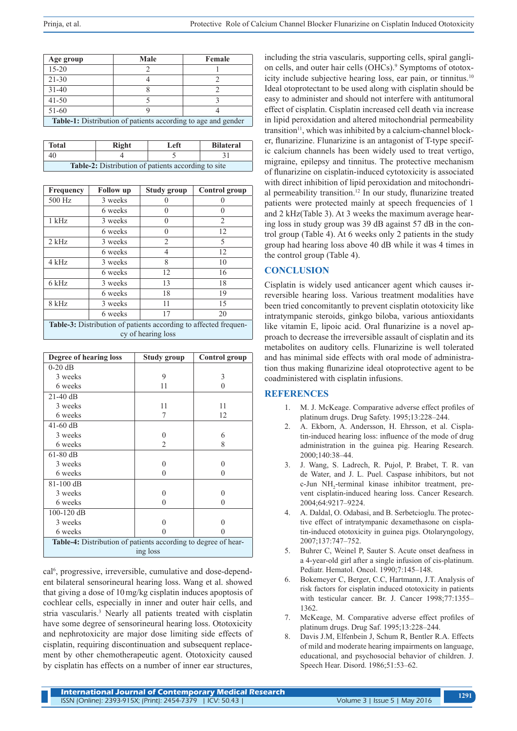| Age group                                                            | Male | Female |  |  |
|----------------------------------------------------------------------|------|--------|--|--|
| $15 - 20$                                                            |      |        |  |  |
| $21 - 30$                                                            |      |        |  |  |
| $31 - 40$                                                            |      |        |  |  |
| $41 - 50$                                                            |      |        |  |  |
| $51-60$                                                              |      |        |  |  |
| <b>Table-1:</b> Distribution of patients according to age and gender |      |        |  |  |

| <b>Total</b>                                               | Right | Left | <b>Bilateral</b> |  |
|------------------------------------------------------------|-------|------|------------------|--|
| 40                                                         |       |      |                  |  |
| <b>Table-2:</b> Distribution of patients according to site |       |      |                  |  |

| Frequency                                                        | <b>Follow</b> up | Study group    | <b>Control</b> group |  |
|------------------------------------------------------------------|------------------|----------------|----------------------|--|
| 500 Hz                                                           | 3 weeks          |                |                      |  |
|                                                                  | 6 weeks          | 0              | 0                    |  |
| $1$ kHz                                                          | 3 weeks          | 0              | $\mathfrak{D}$       |  |
|                                                                  | 6 weeks          | $\Omega$       | 12                   |  |
| $2$ kHz                                                          | 3 weeks          | $\overline{2}$ | 5                    |  |
|                                                                  | 6 weeks          | 4              | 12                   |  |
| 4 kHz                                                            | 3 weeks          | 8              | 10                   |  |
|                                                                  | 6 weeks          | 12             | 16                   |  |
| 6 kHz                                                            | 3 weeks          | 13             | 18                   |  |
|                                                                  | 6 weeks          | 18             | 19                   |  |
| 8 kHz                                                            | 3 weeks          | 11             | 15                   |  |
|                                                                  | 6 weeks          | 17             | 20                   |  |
| Table-3: Distribution of patients according to affected frequen- |                  |                |                      |  |
| cy of hearing loss                                               |                  |                |                      |  |

| Degree of hearing loss                                         | Study group    | <b>Control</b> group |  |  |
|----------------------------------------------------------------|----------------|----------------------|--|--|
| $0-20$ dB                                                      |                |                      |  |  |
| 3 weeks                                                        | 9              | 3                    |  |  |
| 6 weeks                                                        | 11             | 0                    |  |  |
| $21-40$ dB                                                     |                |                      |  |  |
| 3 weeks                                                        | 11             | 11                   |  |  |
| 6 weeks                                                        | 7              | 12                   |  |  |
| $41-60$ dB                                                     |                |                      |  |  |
| 3 weeks                                                        | 0              | 6                    |  |  |
| 6 weeks                                                        | $\overline{2}$ | 8                    |  |  |
| $61-80$ dB                                                     |                |                      |  |  |
| 3 weeks                                                        | 0              | 0                    |  |  |
| 6 weeks                                                        | $\mathbf{0}$   | 0                    |  |  |
| 81-100 dB                                                      |                |                      |  |  |
| 3 weeks                                                        | 0              | 0                    |  |  |
| 6 weeks                                                        | 0              | 0                    |  |  |
| 100-120 dB                                                     |                |                      |  |  |
| 3 weeks                                                        |                |                      |  |  |
| 6 weeks                                                        |                |                      |  |  |
| Table-4: Distribution of patients according to degree of hear- |                |                      |  |  |
| ing loss                                                       |                |                      |  |  |

cal<sup>6</sup>, progressive, irreversible, cumulative and dose-dependent bilateral sensorineural hearing loss. Wang et al. showed that giving a dose of 10mg/kg cisplatin induces apoptosis of cochlear cells, especially in inner and outer hair cells, and stria vascularis.<sup>3</sup> Nearly all patients treated with cisplatin have some degree of sensorineural hearing loss. Ototoxicity and nephrotoxicity are major dose limiting side effects of cisplatin, requiring discontinuation and subsequent replacement by other chemotherapeutic agent. Ototoxicity caused by cisplatin has effects on a number of inner ear structures,

including the stria vascularis, supporting cells, spiral ganglion cells, and outer hair cells (OHCs).<sup>9</sup> Symptoms of ototoxicity include subjective hearing loss, ear pain, or tinnitus.<sup>10</sup> Ideal otoprotectant to be used along with cisplatin should be easy to administer and should not interfere with antitumoral effect of cisplatin. Cisplatin increased cell death via increase in lipid peroxidation and altered mitochondrial permeability transition<sup>11</sup>, which was inhibited by a calcium-channel blocker, flunarizine. Flunarizine is an antagonist of T-type specific calcium channels has been widely used to treat vertigo, migraine, epilepsy and tinnitus. The protective mechanism of flunarizine on cisplatin-induced cytotoxicity is associated with direct inhibition of lipid peroxidation and mitochondrial permeability transition.<sup>12</sup> In our study, flunarizine treated patients were protected mainly at speech frequencies of 1 and 2 kHz(Table 3). At 3 weeks the maximum average hearing loss in study group was 39 dB against 57 dB in the control group (Table 4). At 6 weeks only 2 patients in the study group had hearing loss above 40 dB while it was 4 times in the control group (Table 4).

# **CONCLUSION**

Cisplatin is widely used anticancer agent which causes irreversible hearing loss. Various treatment modalities have been tried concomitantly to prevent cisplatin ototoxicity like intratympanic steroids, ginkgo biloba, various antioxidants like vitamin E, lipoic acid. Oral flunarizine is a novel approach to decrease the irreversible assault of cisplatin and its metabolites on auditory cells. Flunarizine is well tolerated and has minimal side effects with oral mode of administration thus making flunarizine ideal otoprotective agent to be coadministered with cisplatin infusions.

# **REFERENCES**

- 1. M. J. McKeage. Comparative adverse effect profiles of platinum drugs. Drug Safety. 1995;13:228–244.
- 2. A. Ekborn, A. Andersson, H. Ehrsson, et al. Cisplatin-induced hearing loss: influence of the mode of drug administration in the guinea pig. Hearing Research. 2000;140:38–44.
- 3. J. Wang, S. Ladrech, R. Pujol, P. Brabet, T. R. van de Water, and J. L. Puel. Caspase inhibitors, but not c-Jun NH<sub>2</sub>-terminal kinase inhibitor treatment, prevent cisplatin-induced hearing loss. Cancer Research. 2004;64:9217–9224.
- 4. A. Daldal, O. Odabasi, and B. Serbetcioglu. The protective effect of intratympanic dexamethasone on cisplatin-induced ototoxicity in guinea pigs. Otolaryngology, 2007;137:747–752.
- 5. Buhrer C, Weinel P, Sauter S. Acute onset deafness in a 4-year-old girl after a single infusion of cis-platinum. Pediatr. Hematol. Oncol. 1990;7:145–148.
- 6. Bokemeyer C, Berger, C.C, Hartmann, J.T. Analysis of risk factors for cisplatin induced ototoxicity in patients with testicular cancer. Br. J. Cancer 1998;77:1355– 1362.
- 7. McKeage, M. Comparative adverse effect profiles of platinum drugs. Drug Saf. 1995;13:228–244.
- 8. Davis J.M, Elfenbein J, Schum R, Bentler R.A. Effects of mild and moderate hearing impairments on language, educational, and psychosocial behavior of children. J. Speech Hear. Disord. 1986;51:53–62.